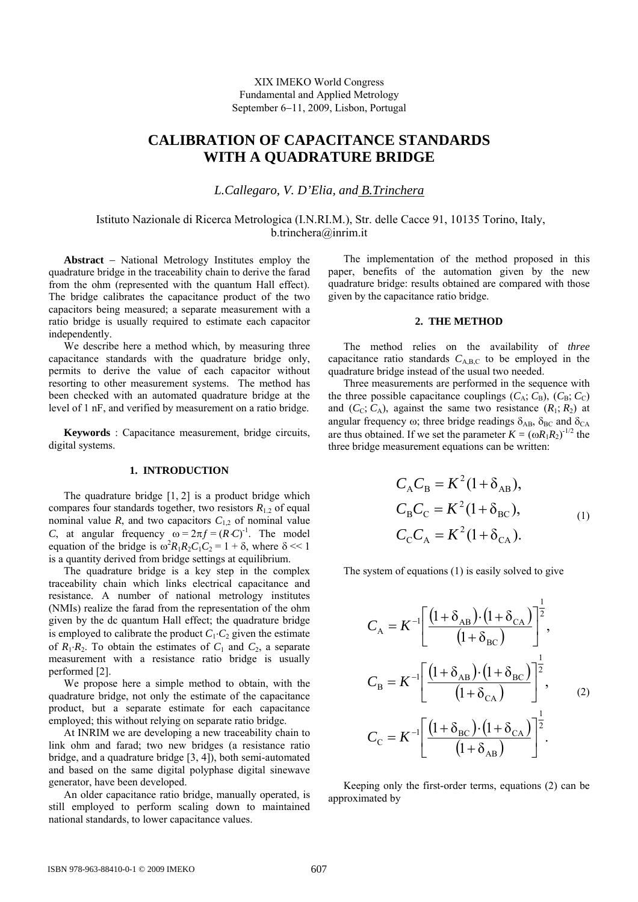XIX IMEKO World Congress Fundamental and Applied Metrology September 6−11, 2009, Lisbon, Portugal

# **CALIBRATION OF CAPACITANCE STANDARDS WITH A QUADRATURE BRIDGE**

*L.Callegaro, V. D'Elia, and B.Trinchera* 

## Istituto Nazionale di Ricerca Metrologica (I.N.RI.M.), Str. delle Cacce 91, 10135 Torino, Italy, b.trinchera@inrim.it

**Abstract** − National Metrology Institutes employ the quadrature bridge in the traceability chain to derive the farad from the ohm (represented with the quantum Hall effect). The bridge calibrates the capacitance product of the two capacitors being measured; a separate measurement with a ratio bridge is usually required to estimate each capacitor independently.

We describe here a method which, by measuring three capacitance standards with the quadrature bridge only, permits to derive the value of each capacitor without resorting to other measurement systems. The method has been checked with an automated quadrature bridge at the level of 1 nF, and verified by measurement on a ratio bridge.

**Keywords** : Capacitance measurement, bridge circuits, digital systems.

#### **1. INTRODUCTION**

The quadrature bridge  $[1, 2]$  is a product bridge which compares four standards together, two resistors  $R_{1,2}$  of equal nominal value  $R$ , and two capacitors  $C_{1,2}$  of nominal value *C*, at angular frequency  $\omega = 2\pi f = (R \cdot C)^{-1}$ . The model equation of the bridge is  $\omega^2 R_1 R_2 C_1 C_2 = 1 + \delta$ , where  $\delta \ll 1$ is a quantity derived from bridge settings at equilibrium.

The quadrature bridge is a key step in the complex traceability chain which links electrical capacitance and resistance. A number of national metrology institutes (NMIs) realize the farad from the representation of the ohm given by the dc quantum Hall effect; the quadrature bridge is employed to calibrate the product  $C_1 \nc_2$  given the estimate of  $R_1 \tcdot R_2$ . To obtain the estimates of  $C_1$  and  $C_2$ , a separate measurement with a resistance ratio bridge is usually performed [2].

We propose here a simple method to obtain, with the quadrature bridge, not only the estimate of the capacitance product, but a separate estimate for each capacitance employed; this without relying on separate ratio bridge.

At INRIM we are developing a new traceability chain to link ohm and farad; two new bridges (a resistance ratio bridge, and a quadrature bridge [3, 4]), both semi-automated and based on the same digital polyphase digital sinewave generator, have been developed.

An older capacitance ratio bridge, manually operated, is still employed to perform scaling down to maintained national standards, to lower capacitance values.

The implementation of the method proposed in this paper, benefits of the automation given by the new quadrature bridge: results obtained are compared with those given by the capacitance ratio bridge.

## **2. THE METHOD**

The method relies on the availability of *three*  capacitance ratio standards  $C_{A,B,C}$  to be employed in the quadrature bridge instead of the usual two needed.

Three measurements are performed in the sequence with the three possible capacitance couplings  $(C_A; C_B)$ ,  $(C_B; C_C)$ and  $(C_C; C_A)$ , against the same two resistance  $(R_1; R_2)$  at angular frequency  $\omega$ ; three bridge readings  $\delta_{AB}$ ,  $\delta_{BC}$  and  $\delta_{CA}$ are thus obtained. If we set the parameter  $K = (\omega R_1 R_2)^{1/2}$  the three bridge measurement equations can be written:

$$
C_{A}C_{B} = K^{2}(1+\delta_{AB}),
$$
  
\n
$$
C_{B}C_{C} = K^{2}(1+\delta_{BC}),
$$
  
\n
$$
C_{C}C_{A} = K^{2}(1+\delta_{CA}).
$$
 (1)

The system of equations (1) is easily solved to give

$$
C_{\rm A} = K^{-1} \left[ \frac{\left(1 + \delta_{\rm AB}\right) \cdot \left(1 + \delta_{\rm CA}\right)}{\left(1 + \delta_{\rm BC}\right)}\right]^{\frac{1}{2}},
$$
  
\n
$$
C_{\rm B} = K^{-1} \left[ \frac{\left(1 + \delta_{\rm AB}\right) \cdot \left(1 + \delta_{\rm BC}\right)}{\left(1 + \delta_{\rm CA}\right)}\right]^{\frac{1}{2}},
$$
  
\n
$$
C_{\rm C} = K^{-1} \left[ \frac{\left(1 + \delta_{\rm BC}\right) \cdot \left(1 + \delta_{\rm CA}\right)}{\left(1 + \delta_{\rm AB}\right)}\right]^{\frac{1}{2}}.
$$
 (2)

Keeping only the first-order terms, equations (2) can be approximated by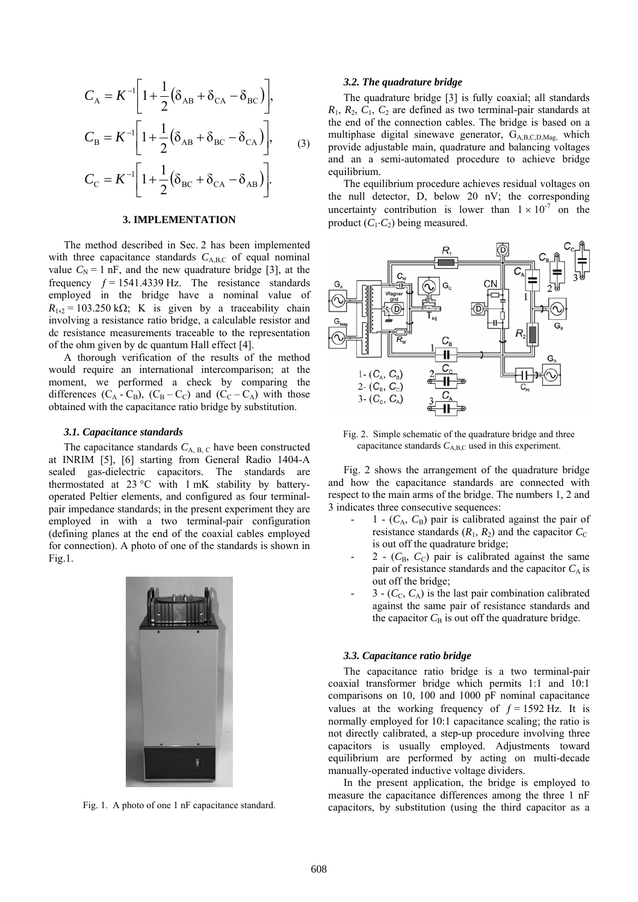$$
C_{A} = K^{-1} \left[ 1 + \frac{1}{2} (\delta_{AB} + \delta_{CA} - \delta_{BC}) \right],
$$
  
\n
$$
C_{B} = K^{-1} \left[ 1 + \frac{1}{2} (\delta_{AB} + \delta_{BC} - \delta_{CA}) \right],
$$
  
\n
$$
C_{C} = K^{-1} \left[ 1 + \frac{1}{2} (\delta_{BC} + \delta_{CA} - \delta_{AB}) \right].
$$
 (3)

## **3. IMPLEMENTATION**

The method described in Sec. 2 has been implemented with three capacitance standards  $C_{\text{ABC}}$  of equal nominal value  $C_N = 1$  nF, and the new quadrature bridge [3], at the frequency  $f = 1541.4339$  Hz. The resistance standards employed in the bridge have a nominal value of  $R_{1,2}$  = 103.250 kΩ; K is given by a traceability chain involving a resistance ratio bridge, a calculable resistor and dc resistance measurements traceable to the representation of the ohm given by dc quantum Hall effect [4].

A thorough verification of the results of the method would require an international intercomparison; at the moment, we performed a check by comparing the differences  $(C_A - C_B)$ ,  $(C_B - C_C)$  and  $(C_C - C_A)$  with those obtained with the capacitance ratio bridge by substitution.

#### *3.1. Capacitance standards*

The capacitance standards  $C_{A, B, C}$  have been constructed at INRIM [5], [6] starting from General Radio 1404-A sealed gas-dielectric capacitors. The standards are thermostated at  $23^{\circ}$ C with 1 mK stability by batteryoperated Peltier elements, and configured as four terminalpair impedance standards; in the present experiment they are employed in with a two terminal-pair configuration (defining planes at the end of the coaxial cables employed for connection). A photo of one of the standards is shown in Fig.1.



Fig. 1. A photo of one 1 nF capacitance standard.

#### *3.2. The quadrature bridge*

The quadrature bridge [3] is fully coaxial; all standards  $R_1$ ,  $R_2$ ,  $C_1$ ,  $C_2$  are defined as two terminal-pair standards at the end of the connection cables. The bridge is based on a multiphase digital sinewave generator, GA,B,C,D,Mag, which provide adjustable main, quadrature and balancing voltages and an a semi-automated procedure to achieve bridge equilibrium.

The equilibrium procedure achieves residual voltages on the null detector, D, below 20 nV; the corresponding uncertainty contribution is lower than  $1 \times 10^{-7}$  on the product  $(C_1 \nvert C_2)$  being measured.



Fig. 2. Simple schematic of the quadrature bridge and three capacitance standards  $C_{A,B,C}$  used in this experiment.

Fig. 2 shows the arrangement of the quadrature bridge and how the capacitance standards are connected with respect to the main arms of the bridge. The numbers 1, 2 and 3 indicates three consecutive sequences:

- $-$  1  $(C_A, C_B)$  pair is calibrated against the pair of resistance standards  $(R_1, R_2)$  and the capacitor  $C_C$ is out off the quadrature bridge;
- $2 (C_B, C_C)$  pair is calibrated against the same pair of resistance standards and the capacitor  $C_A$  is out off the bridge;
- $-3 (C_{C}, C_{A})$  is the last pair combination calibrated against the same pair of resistance standards and the capacitor  $C_B$  is out off the quadrature bridge.

#### *3.3. Capacitance ratio bridge*

The capacitance ratio bridge is a two terminal-pair coaxial transformer bridge which permits 1:1 and 10:1 comparisons on 10, 100 and 1000 pF nominal capacitance values at the working frequency of  $f = 1592$  Hz. It is normally employed for 10:1 capacitance scaling; the ratio is not directly calibrated, a step-up procedure involving three capacitors is usually employed. Adjustments toward equilibrium are performed by acting on multi-decade manually-operated inductive voltage dividers.

In the present application, the bridge is employed to measure the capacitance differences among the three 1 nF capacitors, by substitution (using the third capacitor as a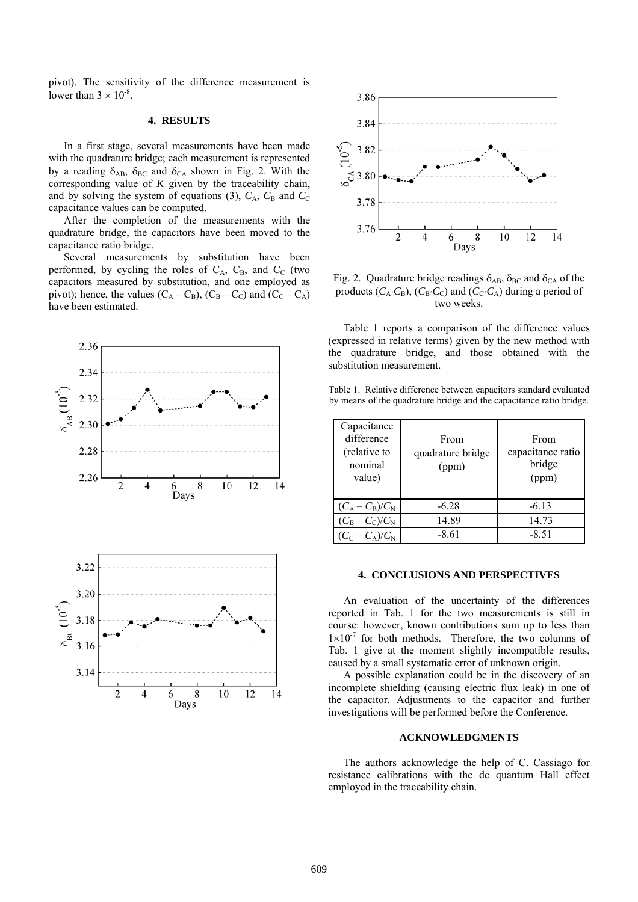pivot). The sensitivity of the difference measurement is lower than  $3 \times 10^{-8}$ .

#### **4. RESULTS**

In a first stage, several measurements have been made with the quadrature bridge; each measurement is represented by a reading  $\delta_{AB}$ ,  $\delta_{BC}$  and  $\delta_{CA}$  shown in Fig. 2. With the corresponding value of *K* given by the traceability chain, and by solving the system of equations (3),  $C_A$ ,  $C_B$  and  $C_C$ capacitance values can be computed.

After the completion of the measurements with the quadrature bridge, the capacitors have been moved to the capacitance ratio bridge.

Several measurements by substitution have been performed, by cycling the roles of  $C_A$ ,  $C_B$ , and  $C_C$  (two capacitors measured by substitution, and one employed as pivot); hence, the values  $(C_A - C_B)$ ,  $(C_B - C_C)$  and  $(C_C - C_A)$ have been estimated.





Fig. 2. Quadrature bridge readings  $\delta_{AB}$ ,  $\delta_{BC}$  and  $\delta_{CA}$  of the products ( $C_A \cdot C_B$ ), ( $C_B \cdot C_C$ ) and ( $C_C \cdot C_A$ ) during a period of two weeks.

Table 1 reports a comparison of the difference values (expressed in relative terms) given by the new method with the quadrature bridge, and those obtained with the substitution measurement.

Table 1. Relative difference between capacitors standard evaluated by means of the quadrature bridge and the capacitance ratio bridge.

| Capacitance<br>difference<br>(relative to<br>nominal<br>value) | From<br>quadrature bridge<br>(ppm) | From<br>capacitance ratio<br>bridge<br>(ppm) |
|----------------------------------------------------------------|------------------------------------|----------------------------------------------|
| $(C_A - C_B)/C_N$                                              | $-6.28$                            | $-6.13$                                      |
| $(C_B - C_C)/C_N$                                              | 14.89                              | 14.73                                        |
| $(C_C - C_A)/C_N$                                              | $-8.61$                            | $-8.51$                                      |

#### **4. CONCLUSIONS AND PERSPECTIVES**

An evaluation of the uncertainty of the differences reported in Tab. 1 for the two measurements is still in course: however, known contributions sum up to less than  $1\times10^{-7}$  for both methods. Therefore, the two columns of Tab. 1 give at the moment slightly incompatible results, caused by a small systematic error of unknown origin.

A possible explanation could be in the discovery of an incomplete shielding (causing electric flux leak) in one of the capacitor. Adjustments to the capacitor and further investigations will be performed before the Conference.

## **ACKNOWLEDGMENTS**

The authors acknowledge the help of C. Cassiago for resistance calibrations with the dc quantum Hall effect employed in the traceability chain.